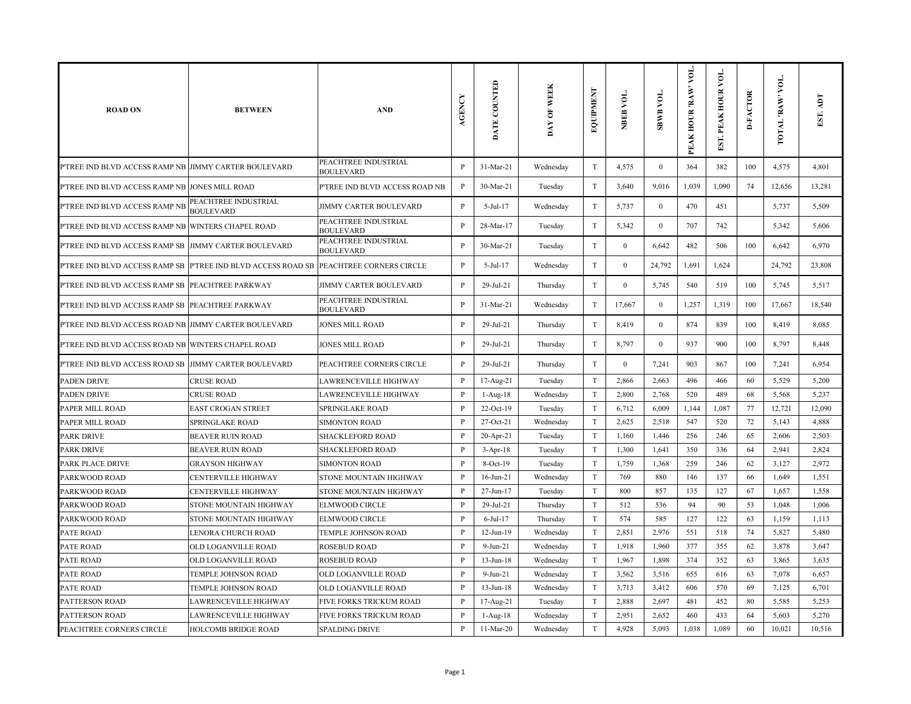| <b>ROAD ON</b>                                       | <b>BETWEEN</b>                                                                         | <b>AND</b>                               | <b>AGENCY</b> | DATE COUNTED    | DAY OF WEEK | EQUIPMENT                 | NBEB VOL. | <b>SBWB VOL.</b> | VOL.<br>PEAK HOUR 'RAW' | $\overline{\mathsf{S}}$<br>PEAK HOUR<br>EST. | <b>D-FACTOR</b> | VOL.<br>TOTAL RAW | EST. ADT |
|------------------------------------------------------|----------------------------------------------------------------------------------------|------------------------------------------|---------------|-----------------|-------------|---------------------------|-----------|------------------|-------------------------|----------------------------------------------|-----------------|-------------------|----------|
| PTREE IND BLVD ACCESS RAMP NB JIMMY CARTER BOULEVARD |                                                                                        | PEACHTREE INDUSTRIAL<br><b>BOULEVARD</b> | $\mathbf{P}$  | 31-Mar-21       | Wednesday   | $\ensuremath{\mathrm{T}}$ | 4,575     | $\mathbf{0}$     | 364                     | 382                                          | 100             | 4,575             | 4,801    |
| PTREE IND BLVD ACCESS RAMP NB JONES MILL ROAD        |                                                                                        | PTREE IND BLVD ACCESS ROAD NB            | $\mathbf{P}$  | 30-Mar-21       | Tuesday     | $\ensuremath{\mathrm{T}}$ | 3,640     | 9,016            | 1,039                   | 1,090                                        | 74              | 12,656            | 13,281   |
| PTREE IND BLVD ACCESS RAMP NB                        | PEACHTREE INDUSTRIAL<br><b>BOULEVARD</b>                                               | JIMMY CARTER BOULEVARD                   | $\mathbf{P}$  | $5-Jul-17$      | Wednesday   | T                         | 5,737     | $\overline{0}$   | 470                     | 451                                          |                 | 5,737             | 5,509    |
| PTREE IND BLVD ACCESS RAMP NB WINTERS CHAPEL ROAD    |                                                                                        | PEACHTREE INDUSTRIAL<br><b>BOULEVARD</b> | $\mathbf{P}$  | 28-Mar-17       | Tuesday     | T                         | 5,342     | $\mathbf{0}$     | 707                     | 742                                          |                 | 5,342             | 5,606    |
| PTREE IND BLVD ACCESS RAMP SB JIMMY CARTER BOULEVARD |                                                                                        | PEACHTREE INDUSTRIAL<br><b>BOULEVARD</b> | P             | 30-Mar-21       | Tuesday     | $\mathbf T$               | $\bf{0}$  | 6,642            | 482                     | 506                                          | 100             | 6,642             | 6,970    |
|                                                      | P'TREE IND BLVD ACCESS RAMP SB P'TREE IND BLVD ACCESS ROAD SB PEACHTREE CORNERS CIRCLE |                                          | $\mathbf{P}$  | $5-Jul-17$      | Wednesday   | T                         | $\bf{0}$  | 24,792           | 1,691                   | 1,624                                        |                 | 24,792            | 23,808   |
| P'TREE IND BLVD ACCESS RAMP SB PEACHTREE PARKWAY     |                                                                                        | JIMMY CARTER BOULEVARD                   | $\, {\bf P}$  | 29-Jul-21       | Thursday    | $\mathbf T$               | $\bf{0}$  | 5,745            | 540                     | 519                                          | 100             | 5,745             | 5,517    |
| P'TREE IND BLVD ACCESS RAMP SB   PEACHTREE PARKWAY   |                                                                                        | PEACHTREE INDUSTRIAL<br><b>BOULEVARD</b> | P             | 31-Mar-21       | Wednesday   | T                         | 17,667    | $\mathbf{0}$     | 1,257                   | 1,319                                        | 100             | 17,667            | 18,540   |
| PTREE IND BLVD ACCESS ROAD NB JIMMY CARTER BOULEVARD |                                                                                        | <b>JONES MILL ROAD</b>                   | P             | 29-Jul-21       | Thursday    | T                         | 8,419     | $\mathbf{0}$     | 874                     | 839                                          | 100             | 8,419             | 8,085    |
| PTREE IND BLVD ACCESS ROAD NB WINTERS CHAPEL ROAD    |                                                                                        | <b>JONES MILL ROAD</b>                   | $\mathbf{P}$  | $29$ -Jul-21    | Thursday    | $\ensuremath{\mathrm{T}}$ | 8,797     | $\boldsymbol{0}$ | 937                     | 900                                          | 100             | 8,797             | 8,448    |
| PTREE IND BLVD ACCESS ROAD SB JIMMY CARTER BOULEVARD |                                                                                        | PEACHTREE CORNERS CIRCLE                 | $\, {\bf P}$  | 29-Jul-21       | Thursday    | $\mathbf T$               | $\bf{0}$  | 7,241            | 903                     | 867                                          | 100             | 7,241             | 6,954    |
| PADEN DRIVE                                          | <b>CRUSE ROAD</b>                                                                      | <b>LAWRENCEVILLE HIGHWAY</b>             | $\mathbf{P}$  | 17-Aug-21       | Tuesday     | T                         | 2,866     | 2,663            | 496                     | 466                                          | 60              | 5,529             | 5,200    |
| <b>PADEN DRIVE</b>                                   | <b>CRUSE ROAD</b>                                                                      | <b>LAWRENCEVILLE HIGHWAY</b>             | P             | 1-Aug-18        | Wednesday   | T                         | 2,800     | 2,768            | 520                     | 489                                          | 68              | 5,568             | 5,237    |
| PAPER MILL ROAD                                      | EAST CROGAN STREET                                                                     | SPRINGLAKE ROAD                          | $\mathbf{P}$  | 22-Oct-19       | Tuesday     | T                         | 6,712     | 6,009            | 1,144                   | 1,087                                        | 77              | 12,721            | 12,090   |
| PAPER MILL ROAD                                      | <b>SPRINGLAKE ROAD</b>                                                                 | <b>SIMONTON ROAD</b>                     | P             | $27-Oct-21$     | Wednesday   | $\mathbf T$               | 2,625     | 2,518            | 547                     | 520                                          | 72              | 5,143             | 4,888    |
| <b>PARK DRIVE</b>                                    | <b>BEAVER RUIN ROAD</b>                                                                | <b>SHACKLEFORD ROAD</b>                  | P             | 20-Apr-21       | Tuesday     | T                         | 1,160     | 1,446            | 256                     | 246                                          | 65              | 2,606             | 2,503    |
| PARK DRIVE                                           | <b>BEAVER RUIN ROAD</b>                                                                | <b>SHACKLEFORD ROAD</b>                  | $\mathbf{P}$  | $3-Apr-18$      | Tuesday     | $\rm T$                   | 1,300     | 1,641            | 350                     | 336                                          | 64              | 2,941             | 2,824    |
| PARK PLACE DRIVE                                     | <b>GRAYSON HIGHWAY</b>                                                                 | <b>SIMONTON ROAD</b>                     | P             | $8-Oct-19$      | Tuesday     | $\mathbf T$               | 1,759     | 1,368            | 259                     | 246                                          | 62              | 3,127             | 2,972    |
| PARKWOOD ROAD                                        | CENTERVILLE HIGHWAY                                                                    | STONE MOUNTAIN HIGHWAY                   | P             | $16$ -Jun-21    | Wednesday   | $\rm T$                   | 769       | 880              | 146                     | 137                                          | 66              | 1,649             | 1,551    |
| PARKWOOD ROAD                                        | <b>CENTERVILLE HIGHWAY</b>                                                             | STONE MOUNTAIN HIGHWAY                   | $\, {\bf P}$  | 27-Jun-17       | Tuesday     | T                         | 800       | 857              | 135                     | 127                                          | 67              | 1,657             | 1,558    |
| PARKWOOD ROAD                                        | STONE MOUNTAIN HIGHWAY                                                                 | <b>ELMWOOD CIRCLE</b>                    | P             | 29-Jul-21       | Thursday    | T                         | 512       | 536              | 94                      | 90                                           | 53              | 1,048             | 1,006    |
| PARKWOOD ROAD                                        | STONE MOUNTAIN HIGHWAY                                                                 | <b>ELMWOOD CIRCLE</b>                    | $\mathbf{P}$  | $6$ -Jul-17     | Thursday    | $\rm T$                   | 574       | 585              | 127                     | 122                                          | 63              | 1,159             | 1,113    |
| PATE ROAD                                            | LENORA CHURCH ROAD                                                                     | TEMPLE JOHNSON ROAD                      | $\, {\bf P}$  | $12 - Jun-19$   | Wednesday   | $\rm T$                   | 2,851     | 2,976            | 551                     | 518                                          | 74              | 5,827             | 5,480    |
| PATE ROAD                                            | OLD LOGANVILLE ROAD                                                                    | <b>ROSEBUD ROAD</b>                      | P             | $9-Jun-21$      | Wednesday   | T                         | 1,918     | 1,960            | 377                     | 355                                          | 62              | 3,878             | 3,647    |
| PATE ROAD                                            | OLD LOGANVILLE ROAD                                                                    | <b>ROSEBUD ROAD</b>                      | $\, {\bf P}$  | $13-Jun-18$     | Wednesday   | $\rm T$                   | 1,967     | 1,898            | 374                     | 352                                          | 63              | 3,865             | 3,635    |
| PATE ROAD                                            | <b>TEMPLE JOHNSON ROAD</b>                                                             | OLD LOGANVILLE ROAD                      | P             | $9$ -Jun-21     | Wednesday   | T                         | 3,562     | 3,516            | 655                     | 616                                          | 63              | 7,078             | 6,657    |
| <b>PATE ROAD</b>                                     | TEMPLE JOHNSON ROAD                                                                    | <b>OLD LOGANVILLE ROAD</b>               | $\mathbf{P}$  | $13$ -Jun- $18$ | Wednesday   | T                         | 3,713     | 3,412            | 606                     | 570                                          | 69              | 7,125             | 6,701    |
| <b>PATTERSON ROAD</b>                                | LAWRENCEVILLE HIGHWAY                                                                  | FIVE FORKS TRICKUM ROAD                  | P             | 17-Aug-21       | Tuesday     | T                         | 2,888     | 2,697            | 481                     | 452                                          | 80              | 5,585             | 5,253    |
| <b>PATTERSON ROAD</b>                                | LAWRENCEVILLE HIGHWAY                                                                  | FIVE FORKS TRICKUM ROAD                  | P             | $1-Aug-18$      | Wednesday   | T                         | 2,951     | 2,652            | 460                     | 433                                          | 64              | 5,603             | 5,270    |
| PEACHTREE CORNERS CIRCLE                             | <b>HOLCOMB BRIDGE ROAD</b>                                                             | <b>SPALDING DRIVE</b>                    | $\, {\bf P}$  | $11-Mar-20$     | Wednesday   | $\ensuremath{\mathrm{T}}$ | 4,928     | 5,093            | 1,038                   | 1,089                                        | 60              | 10,021            | 10,516   |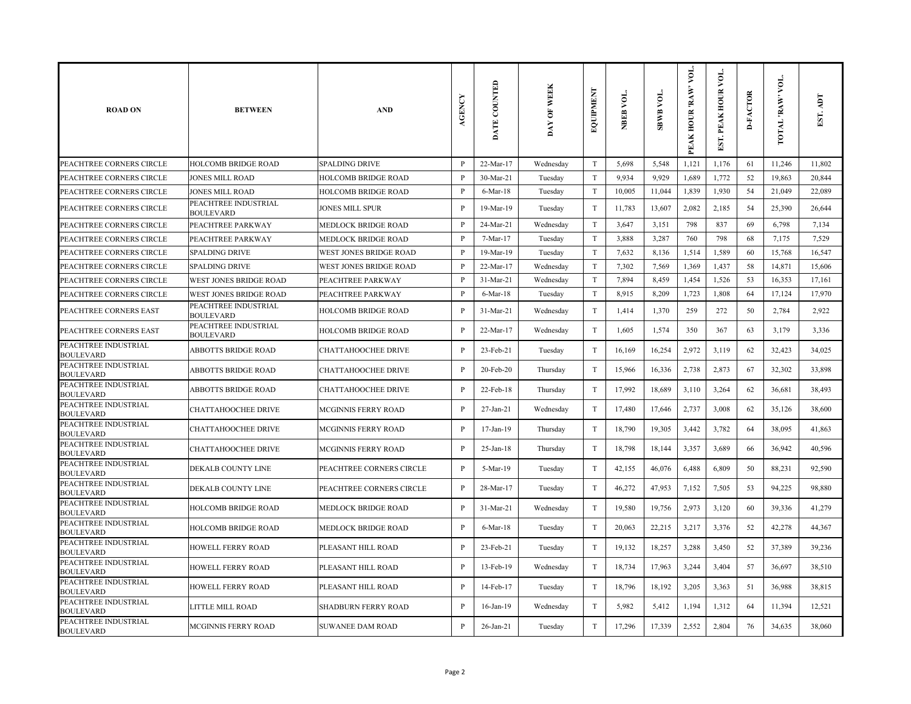| <b>ROAD ON</b>                           | <b>BETWEEN</b>                           | <b>AND</b>                 | AGENCY       | DATE COUNTED    | OF WEEK<br>$\mathbf{V}$ | <b>EQUIPMENT</b>          | NBEB VOL | VΟL.<br><b>SBWB</b> | уoг.<br><b>RAW</b><br>PEAK HOUR | ΣQ<br>PEAK HOUR<br>EST. | <b>D-FACTOR</b> | yог.<br>'RAW'<br><b>TOTAL</b> | Ę<br>EST. |
|------------------------------------------|------------------------------------------|----------------------------|--------------|-----------------|-------------------------|---------------------------|----------|---------------------|---------------------------------|-------------------------|-----------------|-------------------------------|-----------|
| PEACHTREE CORNERS CIRCLE                 | <b>HOLCOMB BRIDGE ROAD</b>               | <b>SPALDING DRIVE</b>      | P            | 22-Mar-17       | Wednesday               | $\ensuremath{\mathrm{T}}$ | 5,698    | 5,548               | 1,121                           | 1,176                   | 61              | 11,246                        | 11,802    |
| PEACHTREE CORNERS CIRCLE                 | <b>JONES MILL ROAD</b>                   | <b>HOLCOMB BRIDGE ROAD</b> | P            | 30-Mar-21       | Tuesday                 | T                         | 9,934    | 9,929               | 1,689                           | 1,772                   | 52              | 19,863                        | 20,844    |
| PEACHTREE CORNERS CIRCLE                 | <b>JONES MILL ROAD</b>                   | HOLCOMB BRIDGE ROAD        | P            | 6-Mar-18        | Tuesday                 | $\rm T$                   | 10,005   | 11,044              | 1,839                           | 1,930                   | 54              | 21,049                        | 22,089    |
| PEACHTREE CORNERS CIRCLE                 | PEACHTREE INDUSTRIAL<br>BOULEVARD        | JONES MILL SPUR            | P            | 19-Mar-19       | Tuesday                 | $\rm T$                   | 11,783   | 13,607              | 2,082                           | 2,185                   | 54              | 25,390                        | 26,644    |
| PEACHTREE CORNERS CIRCLE                 | PEACHTREE PARKWAY                        | <b>MEDLOCK BRIDGE ROAD</b> | P            | 24-Mar-21       | Wednesday               | $\ensuremath{\mathrm{T}}$ | 3,647    | 3,151               | 798                             | 837                     | 69              | 6,798                         | 7,134     |
| PEACHTREE CORNERS CIRCLE                 | PEACHTREE PARKWAY                        | <b>MEDLOCK BRIDGE ROAD</b> | $\mathbf{P}$ | 7-Mar-17        | Tuesday                 | $\rm T$                   | 3,888    | 3,287               | 760                             | 798                     | 68              | 7,175                         | 7,529     |
| PEACHTREE CORNERS CIRCLE                 | <b>SPALDING DRIVE</b>                    | WEST JONES BRIDGE ROAD     | P            | 19-Mar-19       | Tuesday                 | $\mathbf T$               | 7,632    | 8,136               | 1,514                           | 1,589                   | 60              | 15,768                        | 16,547    |
| PEACHTREE CORNERS CIRCLE                 | <b>SPALDING DRIVE</b>                    | WEST JONES BRIDGE ROAD     | P            | 22-Mar-17       | Wednesday               | T                         | 7,302    | 7,569               | 1,369                           | 1,437                   | 58              | 14,871                        | 15,606    |
| PEACHTREE CORNERS CIRCLE                 | WEST JONES BRIDGE ROAD                   | PEACHTREE PARKWAY          | $\mathbf{P}$ | 31-Mar-21       | Wednesday               | $\mathbf T$               | 7,894    | 8,459               | 1,454                           | 1,526                   | 53              | 16,353                        | 17,161    |
| PEACHTREE CORNERS CIRCLE                 | <b>WEST JONES BRIDGE ROAD</b>            | PEACHTREE PARKWAY          | P            | 6-Mar-18        | Tuesday                 | $\mathbf T$               | 8,915    | 8,209               | 1,723                           | 1,808                   | 64              | 17,124                        | 17,970    |
| PEACHTREE CORNERS EAST                   | PEACHTREE INDUSTRIAL<br><b>BOULEVARD</b> | <b>HOLCOMB BRIDGE ROAD</b> | P            | 31-Mar-21       | Wednesday               | $\mathbf T$               | 1,414    | 1,370               | 259                             | 272                     | 50              | 2,784                         | 2,922     |
| PEACHTREE CORNERS EAST                   | PEACHTREE INDUSTRIAL<br><b>BOULEVARD</b> | <b>HOLCOMB BRIDGE ROAD</b> | P            | 22-Mar-17       | Wednesday               | $\mathbf T$               | 1,605    | 1,574               | 350                             | 367                     | 63              | 3,179                         | 3,336     |
| PEACHTREE INDUSTRIAL<br>3OULEVARD        | ABBOTTS BRIDGE ROAD                      | CHATTAHOOCHEE DRIVE        | $\mathbf{P}$ | 23-Feb-21       | Tuesday                 | $\ensuremath{\mathrm{T}}$ | 16,169   | 16,254              | 2,972                           | 3,119                   | 62              | 32,423                        | 34,025    |
| PEACHTREE INDUSTRIAL<br><b>BOULEVARD</b> | ABBOTTS BRIDGE ROAD                      | CHATTAHOOCHEE DRIVE        | $\mathbf{P}$ | 20-Feb-20       | Thursday                | $\ensuremath{\mathrm{T}}$ | 15,966   | 16,336              | 2,738                           | 2,873                   | 67              | 32,302                        | 33,898    |
| PEACHTREE INDUSTRIAL<br>BOULEVARD        | ABBOTTS BRIDGE ROAD                      | CHATTAHOOCHEE DRIVE        | P            | 22-Feb-18       | Thursday                | $\mathbf T$               | 17,992   | 18,689              | 3,110                           | 3,264                   | 62              | 36,681                        | 38,493    |
| PEACHTREE INDUSTRIAL<br>BOULEVARD        | CHATTAHOOCHEE DRIVE                      | MCGINNIS FERRY ROAD        | $\mathbf{P}$ | 27-Jan-21       | Wednesday               | $\mathbf T$               | 17,480   | 17,646              | 2,737                           | 3,008                   | 62              | 35,126                        | 38,600    |
| PEACHTREE INDUSTRIAL<br>BOULEVARD        | CHATTAHOOCHEE DRIVE                      | MCGINNIS FERRY ROAD        | P            | 17-Jan-19       | Thursday                | T                         | 18,790   | 19,305              | 3,442                           | 3,782                   | 64              | 38,095                        | 41,863    |
| PEACHTREE INDUSTRIAL<br><b>BOULEVARD</b> | CHATTAHOOCHEE DRIVE                      | MCGINNIS FERRY ROAD        | $\mathbf{P}$ | $25$ -Jan-18    | Thursday                | $\ensuremath{\mathrm{T}}$ | 18,798   | 18,144              | 3,357                           | 3,689                   | 66              | 36,942                        | 40,596    |
| PEACHTREE INDUSTRIAL<br>BOULEVARD        | DEKALB COUNTY LINE                       | PEACHTREE CORNERS CIRCLE   | P            | 5-Mar-19        | Tuesday                 | $\ensuremath{\mathrm{T}}$ | 42,155   | 46,076              | 6,488                           | 6,809                   | 50              | 88,231                        | 92,590    |
| PEACHTREE INDUSTRIAL<br>BOULEVARD        | <b>DEKALB COUNTY LINE</b>                | PEACHTREE CORNERS CIRCLE   | $\mathbf{P}$ | 28-Mar-17       | Tuesday                 | $\mathbf T$               | 46,272   | 47,953              | 7,152                           | 7,505                   | 53              | 94,225                        | 98,880    |
| PEACHTREE INDUSTRIAL<br><b>BOULEVARD</b> | <b>HOLCOMB BRIDGE ROAD</b>               | MEDLOCK BRIDGE ROAD        | $\mathbf{P}$ | 31-Mar-21       | Wednesday               | $\mathbf T$               | 19,580   | 19,756              | 2,973                           | 3,120                   | 60              | 39,336                        | 41,279    |
| PEACHTREE INDUSTRIAL<br><b>BOULEVARD</b> | HOLCOMB BRIDGE ROAD                      | MEDLOCK BRIDGE ROAD        | $\mathbf{P}$ | $6$ -Mar-18     | Tuesday                 | $\ensuremath{\mathrm{T}}$ | 20,063   | 22,215              | 3,217                           | 3,376                   | 52              | 42,278                        | 44,367    |
| PEACHTREE INDUSTRIAL<br><b>BOULEVARD</b> | HOWELL FERRY ROAD                        | PLEASANT HILL ROAD         | $\mathbf{P}$ | 23-Feb-21       | Tuesday                 | $\ensuremath{\mathrm{T}}$ | 19,132   | 18,257              | 3,288                           | 3,450                   | 52              | 37,389                        | 39,236    |
| PEACHTREE INDUSTRIAL<br><b>BOULEVARD</b> | HOWELL FERRY ROAD                        | PLEASANT HILL ROAD         | P            | 13-Feb-19       | Wednesday               | T                         | 18,734   | 17,963              | 3,244                           | 3,404                   | 57              | 36,697                        | 38,510    |
| PEACHTREE INDUSTRIAL<br>BOULEVARD        | <b>HOWELL FERRY ROAD</b>                 | PLEASANT HILL ROAD         | $\mathbf{P}$ | 14-Feb-17       | Tuesday                 | $\rm T$                   | 18,796   | 18,192              | 3,205                           | 3,363                   | 51              | 36,988                        | 38,815    |
| PEACHTREE INDUSTRIAL<br>BOULEVARD        | LITTLE MILL ROAD                         | <b>SHADBURN FERRY ROAD</b> | $\mathbf{P}$ | $16$ -Jan- $19$ | Wednesday               | $\rm T$                   | 5,982    | 5,412               | 1,194                           | 1,312                   | 64              | 11,394                        | 12,521    |
| PEACHTREE INDUSTRIAL<br><b>BOULEVARD</b> | MCGINNIS FERRY ROAD                      | <b>SUWANEE DAM ROAD</b>    | $\mathbf{P}$ | 26-Jan-21       | Tuesday                 | $\mathbf T$               | 17,296   | 17,339              | 2,552                           | 2,804                   | 76              | 34,635                        | 38,060    |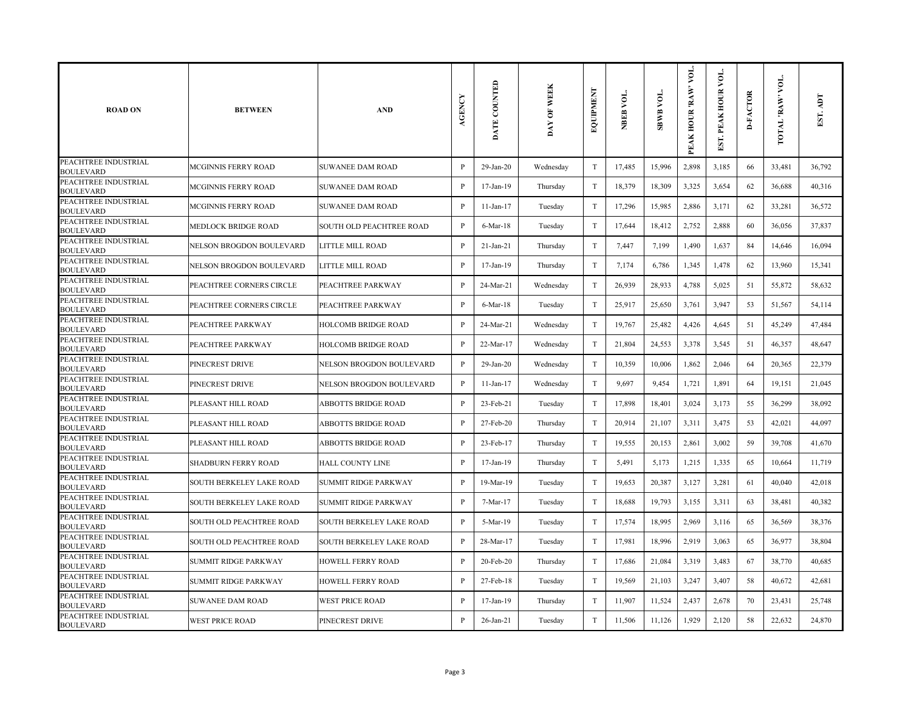| <b>ROAD ON</b>                           | <b>BETWEEN</b>              | <b>AND</b>                      | AGENCY       | COUNTED<br>DATE | <b>WEEK</b><br>Ğ<br>DAY | EQUIPMENT                 | VОL.<br>NBEB | <b>TOA SMBS</b> | yоr.<br>'RAW'<br>PEAK HOUR | Š<br>PEAK HOUR<br>EST. | <b>D-FACTOR</b> | yог.<br>TOTAL 'RAW | ą<br>EST. |
|------------------------------------------|-----------------------------|---------------------------------|--------------|-----------------|-------------------------|---------------------------|--------------|-----------------|----------------------------|------------------------|-----------------|--------------------|-----------|
| PEACHTREE INDUSTRIAL<br><b>BOULEVARD</b> | MCGINNIS FERRY ROAD         | <b>SUWANEE DAM ROAD</b>         | $\mathbf{P}$ | $29$ -Jan- $20$ | Wednesday               | T                         | 17,485       | 15,996          | 2,898                      | 3,185                  | 66              | 33,481             | 36,792    |
| PEACHTREE INDUSTRIAL<br><b>BOULEVARD</b> | <b>MCGINNIS FERRY ROAD</b>  | <b>SUWANEE DAM ROAD</b>         | $\mathbf{P}$ | 17-Jan-19       | Thursday                | T                         | 18,379       | 18,309          | 3,325                      | 3,654                  | 62              | 36,688             | 40,316    |
| PEACHTREE INDUSTRIAL<br><b>BOULEVARD</b> | MCGINNIS FERRY ROAD         | <b>SUWANEE DAM ROAD</b>         | $\mathbf{P}$ | $11$ -Jan- $17$ | Tuesday                 | $\ensuremath{\mathrm{T}}$ | 17,296       | 15,985          | 2,886                      | 3,171                  | 62              | 33,281             | 36,572    |
| PEACHTREE INDUSTRIAL<br><b>BOULEVARD</b> | MEDLOCK BRIDGE ROAD         | SOUTH OLD PEACHTREE ROAD        | $\mathbf{P}$ | 6-Mar-18        | Tuesday                 | T                         | 17,644       | 18,412          | 2,752                      | 2,888                  | 60              | 36,056             | 37,837    |
| PEACHTREE INDUSTRIAL<br><b>BOULEVARD</b> | NELSON BROGDON BOULEVARD    | LITTLE MILL ROAD                | $\mathbf{P}$ | $21-Jan-21$     | Thursday                | T                         | 7,447        | 7,199           | 1,490                      | 1,637                  | 84              | 14,646             | 16,094    |
| PEACHTREE INDUSTRIAL<br><b>BOULEVARD</b> | NELSON BROGDON BOULEVARD    | LITTLE MILL ROAD                | $\mathbf{P}$ | 17-Jan-19       | Thursday                | T                         | 7,174        | 6,786           | 1,345                      | 1,478                  | 62              | 13,960             | 15,341    |
| PEACHTREE INDUSTRIAL<br><b>BOULEVARD</b> | PEACHTREE CORNERS CIRCLE    | PEACHTREE PARKWAY               | $\mathbf{P}$ | 24-Mar-21       | Wednesday               | $\ensuremath{\mathrm{T}}$ | 26,939       | 28,933          | 4,788                      | 5,025                  | 51              | 55,872             | 58,632    |
| PEACHTREE INDUSTRIAL<br><b>BOULEVARD</b> | PEACHTREE CORNERS CIRCLE    | PEACHTREE PARKWAY               | $\mathbf{P}$ | 6-Mar-18        | Tuesday                 | T                         | 25,917       | 25,650          | 3,761                      | 3,947                  | 53              | 51,567             | 54,114    |
| PEACHTREE INDUSTRIAL<br><b>BOULEVARD</b> | PEACHTREE PARKWAY           | <b>HOLCOMB BRIDGE ROAD</b>      | $\mathbf{P}$ | 24-Mar-21       | Wednesday               | T                         | 19,767       | 25,482          | 4,426                      | 4,645                  | 51              | 45,249             | 47,484    |
| PEACHTREE INDUSTRIAL<br><b>BOULEVARD</b> | PEACHTREE PARKWAY           | <b>HOLCOMB BRIDGE ROAD</b>      | $\mathbf{P}$ | 22-Mar-17       | Wednesday               | T                         | 21,804       | 24,553          | 3,378                      | 3,545                  | 51              | 46,357             | 48,647    |
| PEACHTREE INDUSTRIAL<br><b>BOULEVARD</b> | PINECREST DRIVE             | NELSON BROGDON BOULEVARD        | P            | $29$ -Jan- $20$ | Wednesday               | T                         | 10,359       | 10,006          | 1,862                      | 2,046                  | 64              | 20,365             | 22,379    |
| PEACHTREE INDUSTRIAL<br><b>BOULEVARD</b> | PINECREST DRIVE             | NELSON BROGDON BOULEVARD        | $\mathbf{P}$ | $11-Jan-17$     | Wednesday               | T                         | 9,697        | 9,454           | 1,721                      | 1,891                  | 64              | 19,151             | 21,045    |
| PEACHTREE INDUSTRIAL<br><b>BOULEVARD</b> | PLEASANT HILL ROAD          | ABBOTTS BRIDGE ROAD             | $\, {\bf P}$ | 23-Feb-21       | Tuesday                 | $\ensuremath{\mathrm{T}}$ | 17,898       | 18,401          | 3,024                      | 3,173                  | 55              | 36,299             | 38,092    |
| PEACHTREE INDUSTRIAL<br><b>BOULEVARD</b> | PLEASANT HILL ROAD          | ABBOTTS BRIDGE ROAD             | $\mathbf{P}$ | 27-Feb-20       | Thursday                | T                         | 20,914       | 21,107          | 3,311                      | 3,475                  | 53              | 42,021             | 44,097    |
| PEACHTREE INDUSTRIAL<br><b>BOULEVARD</b> | PLEASANT HILL ROAD          | ABBOTTS BRIDGE ROAD             | $\mathbf{P}$ | 23-Feb-17       | Thursday                | T                         | 19,555       | 20,153          | 2,861                      | 3,002                  | 59              | 39,708             | 41,670    |
| PEACHTREE INDUSTRIAL<br><b>BOULEVARD</b> | <b>SHADBURN FERRY ROAD</b>  | HALL COUNTY LINE                | $\, {\bf P}$ | 17-Jan-19       | Thursday                | T                         | 5,491        | 5,173           | 1,215                      | 1,335                  | 65              | 10,664             | 11,719    |
| PEACHTREE INDUSTRIAL<br><b>BOULEVARD</b> | SOUTH BERKELEY LAKE ROAD    | <b>SUMMIT RIDGE PARKWAY</b>     | $\mathbf{P}$ | 19-Mar-19       | Tuesday                 | $\ensuremath{\mathrm{T}}$ | 19,653       | 20,387          | 3,127                      | 3,281                  | 61              | 40,040             | 42,018    |
| PEACHTREE INDUSTRIAL<br><b>BOULEVARD</b> | SOUTH BERKELEY LAKE ROAD    | SUMMIT RIDGE PARKWAY            | $\mathbf{P}$ | 7-Mar-17        | Tuesday                 | T                         | 18,688       | 19,793          | 3,155                      | 3,311                  | 63              | 38,481             | 40,382    |
| PEACHTREE INDUSTRIAL<br><b>BOULEVARD</b> | SOUTH OLD PEACHTREE ROAD    | <b>SOUTH BERKELEY LAKE ROAD</b> | $\mathbf{P}$ | 5-Mar-19        | Tuesday                 | T                         | 17,574       | 18,995          | 2,969                      | 3,116                  | 65              | 36,569             | 38,376    |
| PEACHTREE INDUSTRIAL<br><b>BOULEVARD</b> | SOUTH OLD PEACHTREE ROAD    | SOUTH BERKELEY LAKE ROAD        | $\mathbf{P}$ | 28-Mar-17       | Tuesday                 | $\mathbf T$               | 17,981       | 18,996          | 2,919                      | 3,063                  | 65              | 36,977             | 38,804    |
| PEACHTREE INDUSTRIAL<br><b>BOULEVARD</b> | <b>SUMMIT RIDGE PARKWAY</b> | <b>HOWELL FERRY ROAD</b>        | P            | $20$ -Feb- $20$ | Thursday                | T                         | 17,686       | 21,084          | 3,319                      | 3,483                  | 67              | 38,770             | 40,685    |
| PEACHTREE INDUSTRIAL<br><b>BOULEVARD</b> | SUMMIT RIDGE PARKWAY        | HOWELL FERRY ROAD               | $\mathbf{P}$ | 27-Feb-18       | Tuesday                 | T                         | 19,569       | 21,103          | 3,247                      | 3,407                  | 58              | 40,672             | 42,681    |
| PEACHTREE INDUSTRIAL<br><b>BOULEVARD</b> | <b>SUWANEE DAM ROAD</b>     | <b>WEST PRICE ROAD</b>          | $\mathbf{P}$ | $17 - Jan - 19$ | Thursday                | T                         | 11,907       | 11,524          | 2,437                      | 2,678                  | 70              | 23,431             | 25,748    |
| PEACHTREE INDUSTRIAL<br><b>BOULEVARD</b> | <b>WEST PRICE ROAD</b>      | PINECREST DRIVE                 | $\mathbf{P}$ | $26$ -Jan- $21$ | Tuesday                 | T                         | 11,506       | 11,126          | 1,929                      | 2,120                  | 58              | 22,632             | 24,870    |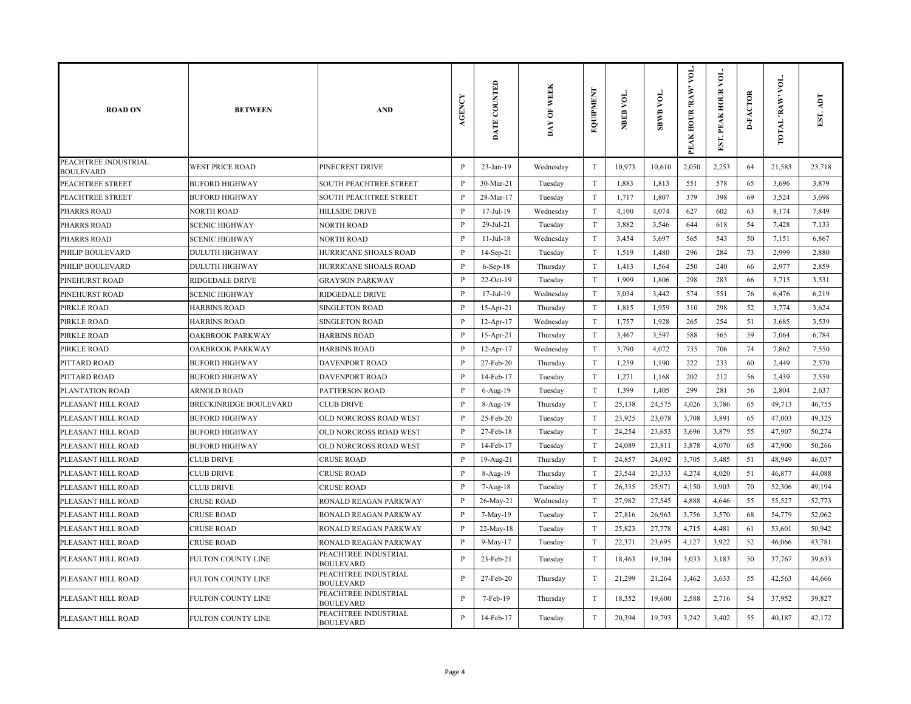| <b>ROAD ON</b>                           | <b>BETWEEN</b>                | <b>AND</b>                               | <b>AGENCY</b>  | DATE COUNTED    | <b>WEEK</b><br>$\mathbf{C}$<br>DAY | EQUIPMENT                 | NBEB VOL. | <b>SBWB VOL.</b> | VOL.<br><b>RAW</b><br>PEAK HOUR | $\overline{\mathsf{A}}$<br>EST. PEAK HOUR | <b>D-FACTOR</b> | VOL.<br>TOTAL 'RAW | EST. ADT |
|------------------------------------------|-------------------------------|------------------------------------------|----------------|-----------------|------------------------------------|---------------------------|-----------|------------------|---------------------------------|-------------------------------------------|-----------------|--------------------|----------|
| PEACHTREE INDUSTRIAL<br><b>BOULEVARD</b> | <b>WEST PRICE ROAD</b>        | PINECREST DRIVE                          | $\, {\bf P}$   | $23$ -Jan-19    | Wednesday                          | T                         | 10,973    | 10,610           | 2,050                           | 2,253                                     | 64              | 21,583             | 23,718   |
| PEACHTREE STREET                         | <b>BUFORD HIGHWAY</b>         | <b>SOUTH PEACHTREE STREET</b>            | $\mathbf{P}$   | 30-Mar-21       | Tuesday                            | T                         | 1,883     | 1,813            | 551                             | 578                                       | 65              | 3,696              | 3,879    |
| PEACHTREE STREET                         | <b>BUFORD HIGHWAY</b>         | SOUTH PEACHTREE STREET                   | P              | 28-Mar-17       | Tuesday                            | T                         | 1,717     | 1,807            | 379                             | 398                                       | 69              | 3,524              | 3,698    |
| <b>PHARRS ROAD</b>                       | NORTH ROAD                    | <b>HILLSIDE DRIVE</b>                    | P              | 17-Jul-19       | Wednesday                          | $\ensuremath{\mathrm{T}}$ | 4,100     | 4,074            | 627                             | 602                                       | 63              | 8,174              | 7,849    |
| PHARRS ROAD                              | <b>SCENIC HIGHWAY</b>         | <b>NORTH ROAD</b>                        | P              | 29-Jul-21       | Tuesday                            | T                         | 3,882     | 3,546            | 644                             | 618                                       | 54              | 7,428              | 7,133    |
| PHARRS ROAD                              | <b>SCENIC HIGHWAY</b>         | <b>NORTH ROAD</b>                        | $\mathbf{P}$   | $11$ -Jul- $18$ | Wednesday                          | T                         | 3,454     | 3,697            | 565                             | 543                                       | 50              | 7,151              | 6,867    |
| PHILIP BOULEVARD                         | <b>DULUTH HIGHWAY</b>         | HURRICANE SHOALS ROAD                    | P              | 14-Sep-21       | Tuesday                            | T                         | 1,519     | 1,480            | 296                             | 284                                       | 73              | 2,999              | 2,880    |
| PHILIP BOULEVARD                         | <b>DULUTH HIGHWAY</b>         | HURRICANE SHOALS ROAD                    | P              | $6-Sep-18$      | Thursday                           | T                         | 1,413     | 1,564            | 250                             | 240                                       | 66              | 2,977              | 2,859    |
| PINEHURST ROAD                           | <b>RIDGEDALE DRIVE</b>        | <b>GRAYSON PARKWAY</b>                   | P              | $22-Oct-19$     | Tuesday                            | T                         | 1,909     | 1,806            | 298                             | 283                                       | 66              | 3,715              | 3,531    |
| PINEHURST ROAD                           | <b>SCENIC HIGHWAY</b>         | <b>RIDGEDALE DRIVE</b>                   | P              | 17-Jul-19       | Wednesday                          | T                         | 3,034     | 3,442            | 574                             | 551                                       | 76              | 6,476              | 6,219    |
| PIRKLE ROAD                              | <b>HARBINS ROAD</b>           | <b>SINGLETON ROAD</b>                    | P              | $15$ -Apr-21    | Thursday                           | T                         | 1,815     | 1,959            | 310                             | 298                                       | 52              | 3,774              | 3,624    |
| PIRKLE ROAD                              | <b>HARBINS ROAD</b>           | <b>SINGLETON ROAD</b>                    | P              | 12-Apr-17       | Wednesday                          | T                         | 1,757     | 1,928            | 265                             | 254                                       | 51              | 3,685              | 3,539    |
| PIRKLE ROAD                              | OAKBROOK PARKWAY              | <b>HARBINS ROAD</b>                      | P              | $15$ -Apr-21    | Thursday                           | $\mathbf T$               | 3,467     | 3,597            | 588                             | 565                                       | 59              | 7,064              | 6,784    |
| PIRKLE ROAD                              | OAKBROOK PARKWAY              | <b>HARBINS ROAD</b>                      | P              | 12-Apr-17       | Wednesday                          | $\mathbf T$               | 3,790     | 4,072            | 735                             | 706                                       | 74              | 7,862              | 7,550    |
| PITTARD ROAD                             | <b>BUFORD HIGHWAY</b>         | DAVENPORT ROAD                           | $\mathbf{P}$   | 27-Feb-20       | Thursday                           | $\mathbf T$               | 1,259     | 1,190            | 222                             | 233                                       | 60              | 2,449              | 2,570    |
| PITTARD ROAD                             | <b>BUFORD HIGHWAY</b>         | <b>DAVENPORT ROAD</b>                    | $\overline{P}$ | 14-Feb-17       | Tuesday                            | $\mathbf T$               | 1,271     | 1,168            | 202                             | 212                                       | 56              | 2,439              | 2,559    |
| PLANTATION ROAD                          | ARNOLD ROAD                   | <b>PATTERSON ROAD</b>                    | $\mathbf{P}$   | 6-Aug-19        | Tuesday                            | $\mathbf T$               | 1,399     | 1,405            | 299                             | 281                                       | 56              | 2,804              | 2,637    |
| PLEASANT HILL ROAD                       | <b>BRECKINRIDGE BOULEVARD</b> | <b>CLUB DRIVE</b>                        | $\mathbf{P}$   | 8-Aug-19        | Thursday                           | $\mathbf T$               | 25,138    | 24,575           | 4,026                           | 3,786                                     | 65              | 49,713             | 46,755   |
| PLEASANT HILL ROAD                       | <b>BUFORD HIGHWAY</b>         | OLD NORCROSS ROAD WEST                   | P              | 25-Feb-20       | Tuesday                            | T                         | 23,925    | 23,078           | 3,708                           | 3,891                                     | 65              | 47,003             | 49,325   |
| PLEASANT HILL ROAD                       | <b>BUFORD HIGHWAY</b>         | OLD NORCROSS ROAD WEST                   | $\mathbf{P}$   | 27-Feb-18       | Tuesday                            | T                         | 24,254    | 23,653           | 3,696                           | 3,879                                     | 55              | 47,907             | 50,274   |
| PLEASANT HILL ROAD                       | <b>BUFORD HIGHWAY</b>         | OLD NORCROSS ROAD WEST                   | P              | 14-Feb-17       | Tuesday                            | T                         | 24,089    | 23,811           | 3,878                           | 4,070                                     | 65              | 47,900             | 50,266   |
| PLEASANT HILL ROAD                       | <b>CLUB DRIVE</b>             | <b>CRUSE ROAD</b>                        | P              | 19-Aug-21       | Thursday                           | T                         | 24,857    | 24,092           | 3,705                           | 3,485                                     | 51              | 48,949             | 46,037   |
| PLEASANT HILL ROAD                       | <b>CLUB DRIVE</b>             | <b>CRUSE ROAD</b>                        | P              | 8-Aug-19        | Thursday                           | T                         | 23,544    | 23,333           | 4,274                           | 4,020                                     | 51              | 46,877             | 44,088   |
| PLEASANT HILL ROAD                       | <b>CLUB DRIVE</b>             | <b>CRUSE ROAD</b>                        | P              | 7-Aug-18        | Tuesday                            | T                         | 26,335    | 25,971           | 4,150                           | 3,903                                     | 70              | 52,306             | 49,194   |
| PLEASANT HILL ROAD                       | <b>CRUSE ROAD</b>             | RONALD REAGAN PARKWAY                    | P              | 26-May-21       | Wednesday                          | T                         | 27,982    | 27,545           | 4,888                           | 4,646                                     | 55              | 55,527             | 52,773   |
| PLEASANT HILL ROAD                       | <b>CRUSE ROAD</b>             | RONALD REAGAN PARKWAY                    | P              | 7-May-19        | Tuesday                            | T                         | 27,816    | 26,963           | 3,756                           | 3,570                                     | 68              | 54,779             | 52,062   |
| PLEASANT HILL ROAD                       | <b>CRUSE ROAD</b>             | RONALD REAGAN PARKWAY                    | P              | 22-May-18       | Tuesday                            | T                         | 25,823    | 27,778           | 4,715                           | 4,481                                     | 61              | 53,601             | 50,942   |
| PLEASANT HILL ROAD                       | <b>CRUSE ROAD</b>             | RONALD REAGAN PARKWAY                    | P              | 9-May-17        | Tuesday                            | $\rm T$                   | 22,371    | 23,695           | 4,127                           | 3,922                                     | 52              | 46,066             | 43,781   |
| PLEASANT HILL ROAD                       | FULTON COUNTY LINE            | PEACHTREE INDUSTRIAL<br><b>BOULEVARD</b> | P              | 23-Feb-21       | Tuesday                            | T                         | 18,463    | 19,304           | 3,033                           | 3,183                                     | 50              | 37,767             | 39,633   |
| PLEASANT HILL ROAD                       | FULTON COUNTY LINE            | PEACHTREE INDUSTRIAL<br><b>BOULEVARD</b> | $\mathbf{P}$   | 27-Feb-20       | Thursday                           | $\ensuremath{\mathrm{T}}$ | 21,299    | 21,264           | 3,462                           | 3,633                                     | 55              | 42,563             | 44,666   |
| PLEASANT HILL ROAD                       | FULTON COUNTY LINE            | PEACHTREE INDUSTRIAL<br><b>BOULEVARD</b> | P              | 7-Feb-19        | Thursday                           | T                         | 18,352    | 19,600           | 2,588                           | 2,716                                     | 54              | 37,952             | 39,827   |
| PLEASANT HILL ROAD                       | <b>FULTON COUNTY LINE</b>     | PEACHTREE INDUSTRIAL<br><b>BOULEVARD</b> | P              | 14-Feb-17       | Tuesday                            | T                         | 20,394    | 19,793           | 3,242                           | 3,402                                     | 55              | 40,187             | 42,172   |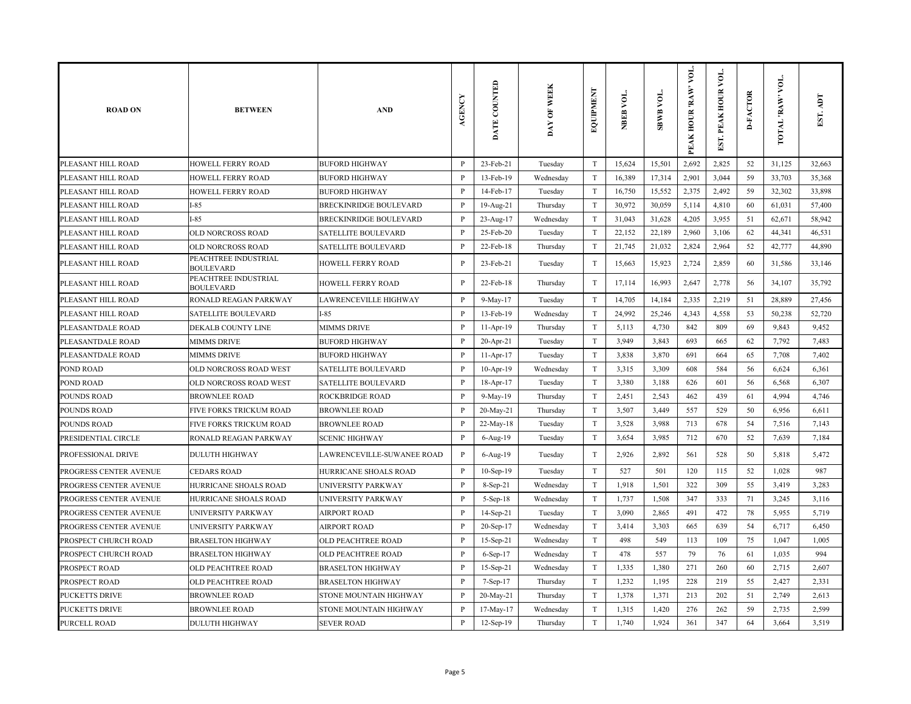| <b>ROAD ON</b>         | <b>BETWEEN</b>                           | <b>AND</b>                    | AGENCY       | COUNTED<br>DATE- | DAY OF WEEK | EQUIPMENT                 | NBEB VOL. | <b>TOA RMBS</b> | VOL.<br>PEAK HOUR 'RAW' | ð<br>EST. PEAK HOUR | <b>D-FACTOR</b> | VOL.<br>TOTAL 'RAW | Įα<br>EST. |
|------------------------|------------------------------------------|-------------------------------|--------------|------------------|-------------|---------------------------|-----------|-----------------|-------------------------|---------------------|-----------------|--------------------|------------|
| PLEASANT HILL ROAD     | HOWELL FERRY ROAD                        | <b>BUFORD HIGHWAY</b>         | $\mathbf{P}$ | 23-Feb-21        | Tuesday     | $\ensuremath{\mathrm{T}}$ | 15,624    | 15,501          | 2,692                   | 2,825               | 52              | 31,125             | 32,663     |
| PLEASANT HILL ROAD     | HOWELL FERRY ROAD                        | <b>BUFORD HIGHWAY</b>         | $\, {\bf P}$ | 13-Feb-19        | Wednesday   | $\ensuremath{\mathrm{T}}$ | 16,389    | 17,314          | 2,901                   | 3,044               | 59              | 33,703             | 35,368     |
| PLEASANT HILL ROAD     | <b>HOWELL FERRY ROAD</b>                 | <b>BUFORD HIGHWAY</b>         | $\, {\bf P}$ | 14-Feb-17        | Tuesday     | T                         | 16,750    | 15,552          | 2,375                   | 2,492               | 59              | 32,302             | 33,898     |
| PLEASANT HILL ROAD     | $I-85$                                   | <b>BRECKINRIDGE BOULEVARD</b> | $\, {\bf P}$ | 19-Aug-21        | Thursday    | T                         | 30,972    | 30,059          | 5,114                   | 4,810               | 60              | 61,031             | 57,400     |
| PLEASANT HILL ROAD     | I-85                                     | BRECKINRIDGE BOULEVARD        | $\, {\bf P}$ | 23-Aug-17        | Wednesday   | T                         | 31,043    | 31,628          | 4,205                   | 3,955               | 51              | 62,671             | 58,942     |
| PLEASANT HILL ROAD     | OLD NORCROSS ROAD                        | SATELLITE BOULEVARD           | P            | 25-Feb-20        | Tuesday     | T                         | 22,152    | 22,189          | 2,960                   | 3,106               | 62              | 44,341             | 46,531     |
| PLEASANT HILL ROAD     | OLD NORCROSS ROAD                        | SATELLITE BOULEVARD           | $\, {\bf p}$ | 22-Feb-18        | Thursday    | T                         | 21,745    | 21,032          | 2,824                   | 2,964               | 52              | 42,777             | 44,890     |
| PLEASANT HILL ROAD     | PEACHTREE INDUSTRIAL<br>BOULEVARD        | <b>HOWELL FERRY ROAD</b>      | $\mathbf{P}$ | 23-Feb-21        | Tuesday     | T                         | 15,663    | 15,923          | 2,724                   | 2,859               | 60              | 31,586             | 33,146     |
| PLEASANT HILL ROAD     | PEACHTREE INDUSTRIAL<br><b>BOULEVARD</b> | HOWELL FERRY ROAD             | $\mathbf{P}$ | 22-Feb-18        | Thursday    | $\ensuremath{\mathrm{T}}$ | 17,114    | 16,993          | 2,647                   | 2,778               | 56              | 34,107             | 35,792     |
| PLEASANT HILL ROAD     | RONALD REAGAN PARKWAY                    | LAWRENCEVILLE HIGHWAY         | $\mathbf{P}$ | 9-May-17         | Tuesday     | T                         | 14,705    | 14,184          | 2,335                   | 2,219               | 51              | 28,889             | 27,456     |
| PLEASANT HILL ROAD     | <b>SATELLITE BOULEVARD</b>               | $I-85$                        | $\mathbf{P}$ | 13-Feb-19        | Wednesday   | $\mathbf T$               | 24,992    | 25,246          | 4,343                   | 4,558               | 53              | 50,238             | 52,720     |
| PLEASANTDALE ROAD      | DEKALB COUNTY LINE                       | <b>MIMMS DRIVE</b>            | $\mathbf{P}$ | $11-Apr-19$      | Thursday    | T                         | 5,113     | 4,730           | 842                     | 809                 | 69              | 9,843              | 9,452      |
| PLEASANTDALE ROAD      | MIMMS DRIVE                              | <b>BUFORD HIGHWAY</b>         | $\mathbf{P}$ | $20$ -Apr-21     | Tuesday     | T                         | 3,949     | 3,843           | 693                     | 665                 | 62              | 7,792              | 7,483      |
| PLEASANTDALE ROAD      | <b>MIMMS DRIVE</b>                       | <b>BUFORD HIGHWAY</b>         | P            | $11-Apr-17$      | Tuesday     | T                         | 3,838     | 3,870           | 691                     | 664                 | 65              | 7,708              | 7,402      |
| POND ROAD              | OLD NORCROSS ROAD WEST                   | <b>SATELLITE BOULEVARD</b>    | $\mathbf{P}$ | 10-Apr-19        | Wednesday   | T                         | 3,315     | 3,309           | 608                     | 584                 | 56              | 6,624              | 6,361      |
| POND ROAD              | OLD NORCROSS ROAD WEST                   | <b>SATELLITE BOULEVARD</b>    | P            | 18-Apr-17        | Tuesday     | T                         | 3,380     | 3,188           | 626                     | 601                 | 56              | 6,568              | 6,307      |
| POUNDS ROAD            | <b>BROWNLEE ROAD</b>                     | ROCKBRIDGE ROAD               | P            | 9-May-19         | Thursday    | T                         | 2,451     | 2,543           | 462                     | 439                 | 61              | 4,994              | 4,746      |
| POUNDS ROAD            | FIVE FORKS TRICKUM ROAD                  | <b>BROWNLEE ROAD</b>          | P            | 20-May-21        | Thursday    | T                         | 3,507     | 3,449           | 557                     | 529                 | 50              | 6,956              | 6,611      |
| POUNDS ROAD            | FIVE FORKS TRICKUM ROAD                  | <b>BROWNLEE ROAD</b>          | P            | 22-May-18        | Tuesday     | T                         | 3,528     | 3,988           | 713                     | 678                 | 54              | 7,516              | 7,143      |
| PRESIDENTIAL CIRCLE    | RONALD REAGAN PARKWAY                    | SCENIC HIGHWAY                | P            | 6-Aug-19         | Tuesday     | T                         | 3,654     | 3,985           | 712                     | 670                 | 52              | 7,639              | 7,184      |
| PROFESSIONAL DRIVE     | <b>DULUTH HIGHWAY</b>                    | LAWRENCEVILLE-SUWANEE ROAD    | $\, {\bf P}$ | 6-Aug-19         | Tuesday     | $\ensuremath{\mathrm{T}}$ | 2,926     | 2,892           | 561                     | 528                 | 50              | 5,818              | 5,472      |
| PROGRESS CENTER AVENUE | <b>CEDARS ROAD</b>                       | HURRICANE SHOALS ROAD         | $\mathbf{P}$ | $10-Sep-19$      | Tuesday     | T                         | 527       | 501             | 120                     | 115                 | 52              | 1,028              | 987        |
| PROGRESS CENTER AVENUE | HURRICANE SHOALS ROAD                    | UNIVERSITY PARKWAY            | $\, {\bf P}$ | $8-Sep-21$       | Wednesday   | T                         | 1,918     | 1,501           | 322                     | 309                 | 55              | 3,419              | 3,283      |
| PROGRESS CENTER AVENUE | HURRICANE SHOALS ROAD                    | UNIVERSITY PARKWAY            | $\mathbf{P}$ | $5-Sep-18$       | Wednesday   | T                         | 1,737     | 1,508           | 347                     | 333                 | 71              | 3,245              | 3,116      |
| PROGRESS CENTER AVENUE | UNIVERSITY PARKWAY                       | AIRPORT ROAD                  | $\mathbf{P}$ | 14-Sep-21        | Tuesday     | T                         | 3,090     | 2,865           | 491                     | 472                 | 78              | 5,955              | 5,719      |
| PROGRESS CENTER AVENUE | UNIVERSITY PARKWAY                       | AIRPORT ROAD                  | $\mathbf{P}$ | 20-Sep-17        | Wednesday   | T                         | 3,414     | 3,303           | 665                     | 639                 | 54              | 6,717              | 6,450      |
| PROSPECT CHURCH ROAD   | <b>BRASELTON HIGHWAY</b>                 | OLD PEACHTREE ROAD            | $\mathbf{P}$ | 15-Sep-21        | Wednesday   | T                         | 498       | 549             | 113                     | 109                 | 75              | 1,047              | 1,005      |
| PROSPECT CHURCH ROAD   | <b>BRASELTON HIGHWAY</b>                 | OLD PEACHTREE ROAD            | $\, {\bf P}$ | $6-Sep-17$       | Wednesday   | T                         | 478       | 557             | 79                      | 76                  | 61              | 1,035              | 994        |
| PROSPECT ROAD          | OLD PEACHTREE ROAD                       | <b>BRASELTON HIGHWAY</b>      | P            | 15-Sep-21        | Wednesday   | T                         | 1,335     | 1,380           | 271                     | 260                 | 60              | 2,715              | 2,607      |
| PROSPECT ROAD          | OLD PEACHTREE ROAD                       | <b>BRASELTON HIGHWAY</b>      | $\mathbf{P}$ | 7-Sep-17         | Thursday    | T                         | 1,232     | 1,195           | 228                     | 219                 | 55              | 2,427              | 2,331      |
| <b>PUCKETTS DRIVE</b>  | <b>BROWNLEE ROAD</b>                     | STONE MOUNTAIN HIGHWAY        | P            | 20-May-21        | Thursday    | $\ensuremath{\mathrm{T}}$ | 1,378     | 1,371           | 213                     | 202                 | 51              | 2,749              | 2,613      |
| <b>PUCKETTS DRIVE</b>  | <b>BROWNLEE ROAD</b>                     | STONE MOUNTAIN HIGHWAY        | P            | 17-May-17        | Wednesday   | T                         | 1,315     | 1,420           | 276                     | 262                 | 59              | 2,735              | 2,599      |
| <b>PURCELL ROAD</b>    | <b>DULUTH HIGHWAY</b>                    | <b>SEVER ROAD</b>             | $\mathbf{P}$ | $12-Sep-19$      | Thursday    | $\mathbf T$               | 1,740     | 1,924           | 361                     | 347                 | 64              | 3,664              | 3,519      |